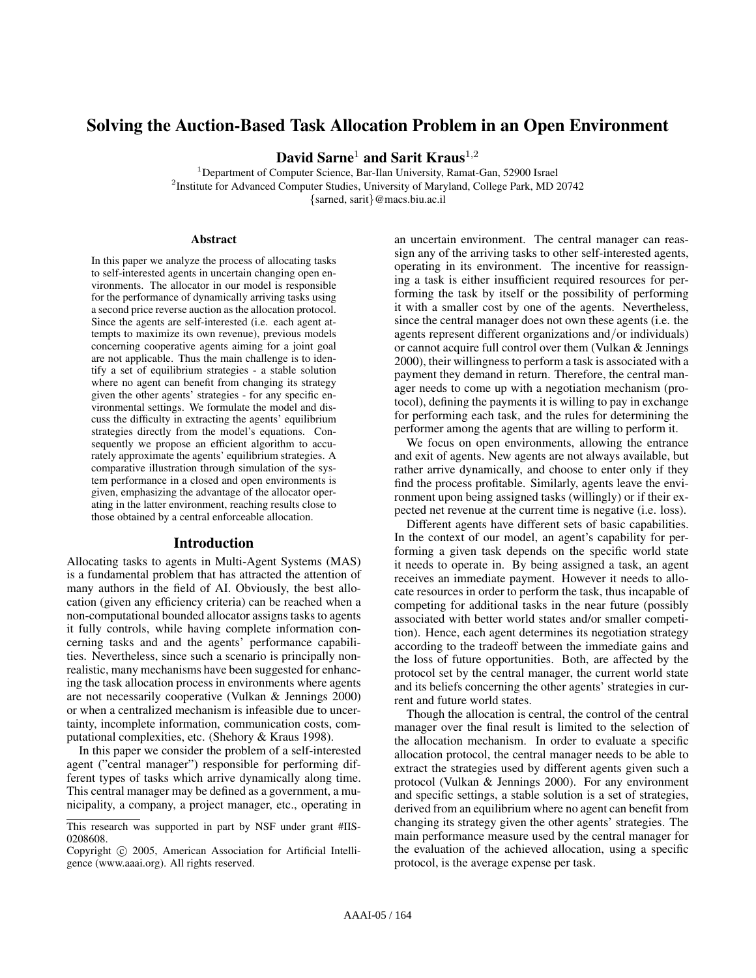# Solving the Auction-Based Task Allocation Problem in an Open Environment

David Sarne<sup>1</sup> and Sarit Kraus<sup>1,2</sup>

<sup>1</sup>Department of Computer Science, Bar-Ilan University, Ramat-Gan, 52900 Israel <sup>2</sup>Institute for Advanced Computer Studies, University of Maryland, College Park, MD 20742 {sarned, sarit}@macs.biu.ac.il

## Abstract

In this paper we analyze the process of allocating tasks to self-interested agents in uncertain changing open environments. The allocator in our model is responsible for the performance of dynamically arriving tasks using a second price reverse auction as the allocation protocol. Since the agents are self-interested (i.e. each agent attempts to maximize its own revenue), previous models concerning cooperative agents aiming for a joint goal are not applicable. Thus the main challenge is to identify a set of equilibrium strategies - a stable solution where no agent can benefit from changing its strategy given the other agents' strategies - for any specific environmental settings. We formulate the model and discuss the difficulty in extracting the agents' equilibrium strategies directly from the model's equations. Consequently we propose an efficient algorithm to accurately approximate the agents' equilibrium strategies. A comparative illustration through simulation of the system performance in a closed and open environments is given, emphasizing the advantage of the allocator operating in the latter environment, reaching results close to those obtained by a central enforceable allocation.

## Introduction

Allocating tasks to agents in Multi-Agent Systems (MAS) is a fundamental problem that has attracted the attention of many authors in the field of AI. Obviously, the best allocation (given any efficiency criteria) can be reached when a non-computational bounded allocator assigns tasks to agents it fully controls, while having complete information concerning tasks and and the agents' performance capabilities. Nevertheless, since such a scenario is principally nonrealistic, many mechanisms have been suggested for enhancing the task allocation process in environments where agents are not necessarily cooperative (Vulkan & Jennings 2000) or when a centralized mechanism is infeasible due to uncertainty, incomplete information, communication costs, computational complexities, etc. (Shehory & Kraus 1998).

In this paper we consider the problem of a self-interested agent ("central manager") responsible for performing different types of tasks which arrive dynamically along time. This central manager may be defined as a government, a municipality, a company, a project manager, etc., operating in

an uncertain environment. The central manager can reassign any of the arriving tasks to other self-interested agents, operating in its environment. The incentive for reassigning a task is either insufficient required resources for performing the task by itself or the possibility of performing it with a smaller cost by one of the agents. Nevertheless, since the central manager does not own these agents (i.e. the agents represent different organizations and/or individuals) or cannot acquire full control over them (Vulkan & Jennings 2000), their willingness to perform a task is associated with a payment they demand in return. Therefore, the central manager needs to come up with a negotiation mechanism (protocol), defining the payments it is willing to pay in exchange for performing each task, and the rules for determining the performer among the agents that are willing to perform it.

We focus on open environments, allowing the entrance and exit of agents. New agents are not always available, but rather arrive dynamically, and choose to enter only if they find the process profitable. Similarly, agents leave the environment upon being assigned tasks (willingly) or if their expected net revenue at the current time is negative (i.e. loss).

Different agents have different sets of basic capabilities. In the context of our model, an agent's capability for performing a given task depends on the specific world state it needs to operate in. By being assigned a task, an agent receives an immediate payment. However it needs to allocate resources in order to perform the task, thus incapable of competing for additional tasks in the near future (possibly associated with better world states and/or smaller competition). Hence, each agent determines its negotiation strategy according to the tradeoff between the immediate gains and the loss of future opportunities. Both, are affected by the protocol set by the central manager, the current world state and its beliefs concerning the other agents' strategies in current and future world states.

Though the allocation is central, the control of the central manager over the final result is limited to the selection of the allocation mechanism. In order to evaluate a specific allocation protocol, the central manager needs to be able to extract the strategies used by different agents given such a protocol (Vulkan & Jennings 2000). For any environment and specific settings, a stable solution is a set of strategies, derived from an equilibrium where no agent can benefit from changing its strategy given the other agents' strategies. The main performance measure used by the central manager for the evaluation of the achieved allocation, using a specific protocol, is the average expense per task.

This research was supported in part by NSF under grant #IIS-0208608.

Copyright © 2005, American Association for Artificial Intelligence (www.aaai.org). All rights reserved.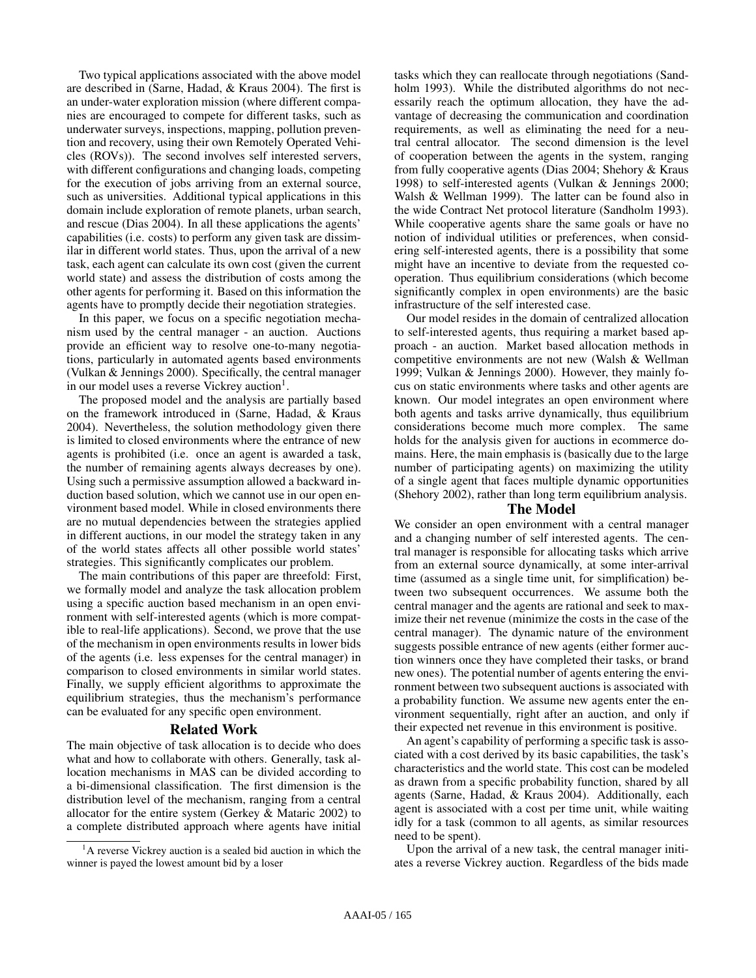Two typical applications associated with the above model are described in (Sarne, Hadad, & Kraus 2004). The first is an under-water exploration mission (where different companies are encouraged to compete for different tasks, such as underwater surveys, inspections, mapping, pollution prevention and recovery, using their own Remotely Operated Vehicles (ROVs)). The second involves self interested servers, with different configurations and changing loads, competing for the execution of jobs arriving from an external source, such as universities. Additional typical applications in this domain include exploration of remote planets, urban search, and rescue (Dias 2004). In all these applications the agents' capabilities (i.e. costs) to perform any given task are dissimilar in different world states. Thus, upon the arrival of a new task, each agent can calculate its own cost (given the current world state) and assess the distribution of costs among the other agents for performing it. Based on this information the agents have to promptly decide their negotiation strategies.

In this paper, we focus on a specific negotiation mechanism used by the central manager - an auction. Auctions provide an efficient way to resolve one-to-many negotiations, particularly in automated agents based environments (Vulkan & Jennings 2000). Specifically, the central manager in our model uses a reverse Vickrey auction<sup>1</sup>.

The proposed model and the analysis are partially based on the framework introduced in (Sarne, Hadad, & Kraus 2004). Nevertheless, the solution methodology given there is limited to closed environments where the entrance of new agents is prohibited (i.e. once an agent is awarded a task, the number of remaining agents always decreases by one). Using such a permissive assumption allowed a backward induction based solution, which we cannot use in our open environment based model. While in closed environments there are no mutual dependencies between the strategies applied in different auctions, in our model the strategy taken in any of the world states affects all other possible world states' strategies. This significantly complicates our problem.

The main contributions of this paper are threefold: First, we formally model and analyze the task allocation problem using a specific auction based mechanism in an open environment with self-interested agents (which is more compatible to real-life applications). Second, we prove that the use of the mechanism in open environments results in lower bids of the agents (i.e. less expenses for the central manager) in comparison to closed environments in similar world states. Finally, we supply efficient algorithms to approximate the equilibrium strategies, thus the mechanism's performance can be evaluated for any specific open environment.

## Related Work

The main objective of task allocation is to decide who does what and how to collaborate with others. Generally, task allocation mechanisms in MAS can be divided according to a bi-dimensional classification. The first dimension is the distribution level of the mechanism, ranging from a central allocator for the entire system (Gerkey & Mataric 2002) to a complete distributed approach where agents have initial tasks which they can reallocate through negotiations (Sandholm 1993). While the distributed algorithms do not necessarily reach the optimum allocation, they have the advantage of decreasing the communication and coordination requirements, as well as eliminating the need for a neutral central allocator. The second dimension is the level of cooperation between the agents in the system, ranging from fully cooperative agents (Dias 2004; Shehory & Kraus 1998) to self-interested agents (Vulkan & Jennings 2000; Walsh & Wellman 1999). The latter can be found also in the wide Contract Net protocol literature (Sandholm 1993). While cooperative agents share the same goals or have no notion of individual utilities or preferences, when considering self-interested agents, there is a possibility that some might have an incentive to deviate from the requested cooperation. Thus equilibrium considerations (which become significantly complex in open environments) are the basic infrastructure of the self interested case.

Our model resides in the domain of centralized allocation to self-interested agents, thus requiring a market based approach - an auction. Market based allocation methods in competitive environments are not new (Walsh & Wellman 1999; Vulkan & Jennings 2000). However, they mainly focus on static environments where tasks and other agents are known. Our model integrates an open environment where both agents and tasks arrive dynamically, thus equilibrium considerations become much more complex. The same holds for the analysis given for auctions in ecommerce domains. Here, the main emphasis is (basically due to the large number of participating agents) on maximizing the utility of a single agent that faces multiple dynamic opportunities (Shehory 2002), rather than long term equilibrium analysis.

# The Model

We consider an open environment with a central manager and a changing number of self interested agents. The central manager is responsible for allocating tasks which arrive from an external source dynamically, at some inter-arrival time (assumed as a single time unit, for simplification) between two subsequent occurrences. We assume both the central manager and the agents are rational and seek to maximize their net revenue (minimize the costs in the case of the central manager). The dynamic nature of the environment suggests possible entrance of new agents (either former auction winners once they have completed their tasks, or brand new ones). The potential number of agents entering the environment between two subsequent auctions is associated with a probability function. We assume new agents enter the environment sequentially, right after an auction, and only if their expected net revenue in this environment is positive.

An agent's capability of performing a specific task is associated with a cost derived by its basic capabilities, the task's characteristics and the world state. This cost can be modeled as drawn from a specific probability function, shared by all agents (Sarne, Hadad, & Kraus 2004). Additionally, each agent is associated with a cost per time unit, while waiting idly for a task (common to all agents, as similar resources need to be spent).

Upon the arrival of a new task, the central manager initiates a reverse Vickrey auction. Regardless of the bids made

<sup>&</sup>lt;sup>1</sup>A reverse Vickrey auction is a sealed bid auction in which the winner is payed the lowest amount bid by a loser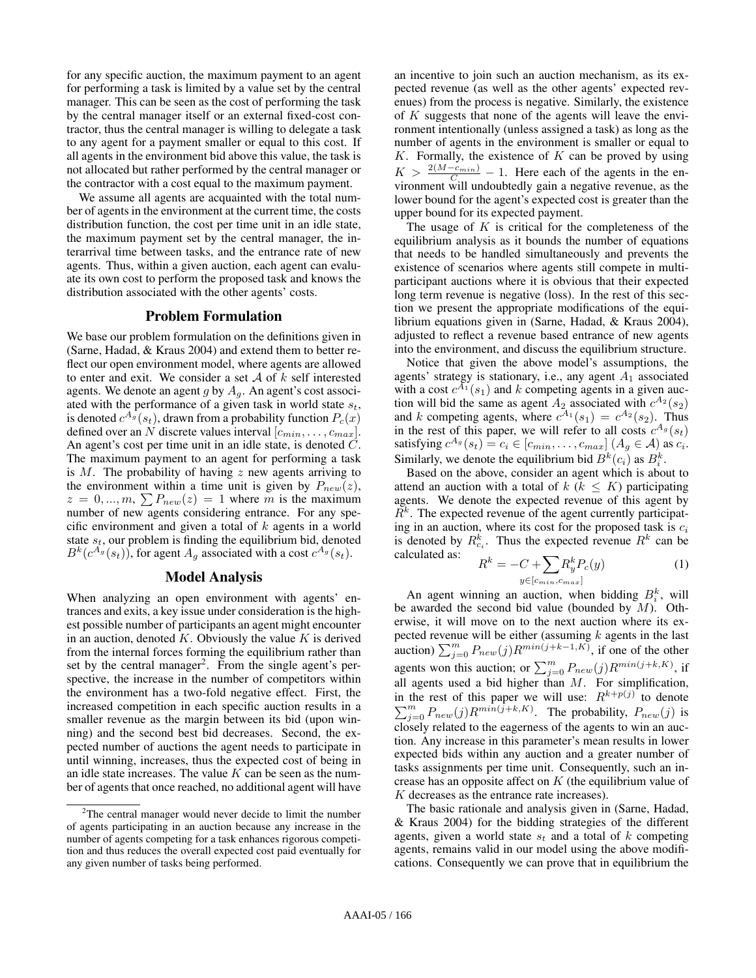for any specific auction, the maximum payment to an agent for performing a task is limited by a value set by the central manager. This can be seen as the cost of performing the task by the central manager itself or an external fixed-cost contractor, thus the central manager is willing to delegate a task to any agent for a payment smaller or equal to this cost. If all agents in the environment bid above this value, the task is not allocated but rather performed by the central manager or the contractor with a cost equal to the maximum payment.

We assume all agents are acquainted with the total number of agents in the environment at the current time, the costs distribution function, the cost per time unit in an idle state, the maximum payment set by the central manager, the interarrival time between tasks, and the entrance rate of new agents. Thus, within a given auction, each agent can evaluate its own cost to perform the proposed task and knows the distribution associated with the other agents' costs.

# Problem Formulation

We base our problem formulation on the definitions given in (Sarne, Hadad, & Kraus 2004) and extend them to better reflect our open environment model, where agents are allowed to enter and exit. We consider a set  $A$  of  $k$  self interested agents. We denote an agent g by  $A<sub>q</sub>$ . An agent's cost associated with the performance of a given task in world state  $s_t$ , is denoted  $c^{A_g}(s_t)$ , drawn from a probability function  $P_c(x)$ defined over an N discrete values interval  $[c_{min}, \ldots, c_{max}]$ . An agent's cost per time unit in an idle state, is denoted C. The maximum payment to an agent for performing a task is  $M$ . The probability of having  $z$  new agents arriving to the environment within a time unit is given by  $P_{new}(z)$ , the environment within a time unit is given by  $P_{new}(z)$ ,<br>  $z = 0, ..., m$ ,  $\sum P_{new}(z) = 1$  where m is the maximum number of new agents considering entrance. For any specific environment and given a total of  $k$  agents in a world state  $s_t$ , our problem is finding the equilibrium bid, denoted  $B^k(c^{A_g}(s_t))$ , for agent  $A_g$  associated with a cost  $c^{A_g}(s_t)$ .

# Model Analysis

When analyzing an open environment with agents' entrances and exits, a key issue under consideration is the highest possible number of participants an agent might encounter in an auction, denoted  $K$ . Obviously the value  $K$  is derived from the internal forces forming the equilibrium rather than set by the central manager<sup>2</sup>. From the single agent's perspective, the increase in the number of competitors within the environment has a two-fold negative effect. First, the increased competition in each specific auction results in a smaller revenue as the margin between its bid (upon winning) and the second best bid decreases. Second, the expected number of auctions the agent needs to participate in until winning, increases, thus the expected cost of being in an idle state increases. The value  $K$  can be seen as the number of agents that once reached, no additional agent will have

an incentive to join such an auction mechanism, as its expected revenue (as well as the other agents' expected revenues) from the process is negative. Similarly, the existence of  $K$  suggests that none of the agents will leave the environment intentionally (unless assigned a task) as long as the number of agents in the environment is smaller or equal to  $K$ . Formally, the existence of  $K$  can be proved by using  $K > \frac{2(M-c_{min})}{C_{min}} - 1$ . Here each of the agents in the environment will undoubtedly gain a negative revenue, as the lower bound for the agent's expected cost is greater than the upper bound for its expected payment.

The usage of  $K$  is critical for the completeness of the equilibrium analysis as it bounds the number of equations that needs to be handled simultaneously and prevents the existence of scenarios where agents still compete in multiparticipant auctions where it is obvious that their expected long term revenue is negative (loss). In the rest of this section we present the appropriate modifications of the equilibrium equations given in (Sarne, Hadad, & Kraus 2004), adjusted to reflect a revenue based entrance of new agents into the environment, and discuss the equilibrium structure.

Notice that given the above model's assumptions, the agents' strategy is stationary, i.e., any agent  $A_1$  associated with a cost  $c^{A_1}(s_1)$  and k competing agents in a given auction will bid the same as agent  $A_2$  associated with  $c^{A_2}(s_2)$ and k competing agents, where  $c^{A_1}(s_1) = c^{A_2}(s_2)$ . Thus in the rest of this paper, we will refer to all costs  $c^{A_g}(s_t)$ satisfying  $c^{A_g}(s_t) = c_i \in [c_{min}, \ldots, c_{max}]$   $(A_g \in \mathcal{A})$  as  $c_i$ . Similarly, we denote the equilibrium bid  $B^k(c_i)$  as  $B_i^k$ .

Based on the above, consider an agent which is about to attend an auction with a total of  $k$  ( $k \leq K$ ) participating agents. We denote the expected revenue of this agent by  $R<sup>k</sup>$ . The expected revenue of the agent currently participating in an auction, where its cost for the proposed task is  $c_i$ is denoted by  $R_{c_i}^k$ . Thus the expected revenue  $R^k$  can be calculated as:  $R^k$  $\overline{\phantom{a}}$ 

$$
R^k = -C + \sum_{y \in [c_{min}, c_{max}]} R^k_y P_c(y) \tag{1}
$$

An agent winning an auction, when bidding  $B_i^k$ , will be awarded the second bid value (bounded by  $M$ ). Otherwise, it will move on to the next auction where its expected revenue will be either (assuming  $k$  agents in the last pected revenue will be either (assuming k agents in the last<br>auction)  $\sum_{j=0}^{m} P_{new}(j)R^{min(j+k-1,K)}$ , if one of the other<br>agents won this auction; or  $\sum_{j=0}^{m} P_{new}(j)R^{min(j+k,K)}$ , if all agents used a bid higher than  $M$ . For simplification, in the rest of this paper we will use:  $R^{k+p(j)}$  to denote  $\sum_{j=0}^{m} P_{new}(j) R^{min(j+k,K)}$ . The probability,  $P_{new}(j)$  is closely related to the eagerness of the agents to win an auction. Any increase in this parameter's mean results in lower expected bids within any auction and a greater number of tasks assignments per time unit. Consequently, such an increase has an opposite affect on  $K$  (the equilibrium value of K decreases as the entrance rate increases).

The basic rationale and analysis given in (Sarne, Hadad, & Kraus 2004) for the bidding strategies of the different agents, given a world state  $s_t$  and a total of k competing agents, remains valid in our model using the above modifications. Consequently we can prove that in equilibrium the

 $2$ The central manager would never decide to limit the number of agents participating in an auction because any increase in the number of agents competing for a task enhances rigorous competition and thus reduces the overall expected cost paid eventually for any given number of tasks being performed.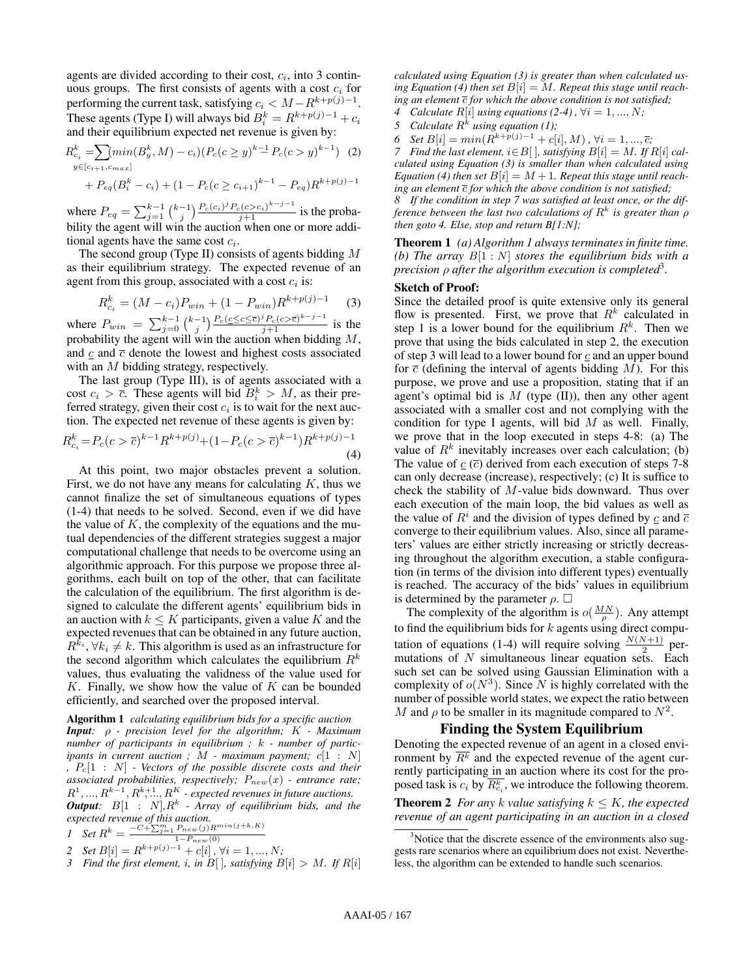agents are divided according to their cost,  $c_i$ , into 3 continuous groups. The first consists of agents with a cost  $c_i$  for performing the current task, satisfying  $c_i < M - R^{k+p(j)-1}$ . These agents (Type I) will always bid  $B_i^k = R^{k+p(j)-1} + c_i$ and their equilibrium expected net revenue is given by:

$$
R_{c_i}^k = \sum_{y \in [c_{i+1}, c_{max}]} min(B_y^k, M) - c_i (P_c(c \ge y)^{k-1} P_c(c > y)^{k-1}) \tag{2}
$$
  
+  $P_{eq}(B_i^k - c_i) + (1 - P_c(c \ge c_{i+1})^{k-1} - P_{eq}) R^{k+p(j)-1}$ 

where  $P_{eq} = \sum_{j=1}^{k-1} {k-1 \choose j} \frac{P_c(c_i)^j P_c(c > c_i)^{k-j-1}}{j+1}$  is the probability the agent will win the auction when one or more additional agents have the same cost  $c_i$ .

The second group (Type II) consists of agents bidding  $M$ as their equilibrium strategy. The expected revenue of an agent from this group, associated with a cost  $c_i$  is:

$$
R_{c_i}^k = (M - c_i)P_{win} + (1 - P_{win})R^{k+p(j)-1}
$$
 (3)

where  $P_{win} = \sum_{j=0}^{k-1} {k-1 \choose j} \frac{P_c(c \leq c \leq \overline{c})^j P_c(c > \overline{c})^{k-j-1}}{j+1}$  is the probability the agent will win the auction when bidding  $M$ , and  $\overline{c}$  and  $\overline{c}$  denote the lowest and highest costs associated with an M bidding strategy, respectively.

The last group (Type III), is of agents associated with a cost  $c_i > \overline{c}$ . These agents will bid  $B_i^k > M$ , as their preferred strategy, given their cost  $c_i$  is to wait for the next auction. The expected net revenue of these agents is given by:

$$
R_{c_i}^k = P_c(c > \overline{c})^{k-1} R^{k+p(j)} + (1 - P_c(c > \overline{c})^{k-1}) R^{k+p(j)-1}
$$
\n(4)

At this point, two major obstacles prevent a solution. First, we do not have any means for calculating  $K$ , thus we cannot finalize the set of simultaneous equations of types (1-4) that needs to be solved. Second, even if we did have the value of  $K$ , the complexity of the equations and the mutual dependencies of the different strategies suggest a major computational challenge that needs to be overcome using an algorithmic approach. For this purpose we propose three algorithms, each built on top of the other, that can facilitate the calculation of the equilibrium. The first algorithm is designed to calculate the different agents' equilibrium bids in an auction with  $k \leq K$  participants, given a value K and the expected revenues that can be obtained in any future auction,  $R^{\hat{k}_i}, \forall k_i \neq k$ . This algorithm is used as an infrastructure for the second algorithm which calculates the equilibrium  $R^k$ values, thus evaluating the validness of the value used for  $K$ . Finally, we show how the value of  $K$  can be bounded efficiently, and searched over the proposed interval.

Algorithm 1 *calculating equilibrium bids for a specific auction Input:* ρ *- precision level for the algorithm;* K *- Maximum number of participants in equilibrium ;* k *- number of participants in current auction ;* M *- maximum payment;* c[1 : N] *,* Pc[1 : N] *- Vectors of the possible discrete costs and their associated probabilities, respectively;* Pnew(x) *- entrance rate;*  $R^1, ..., R^{k-1}, R^{k+1}, R^K$  - expected revenues in future auctions. *Output:*  $B[1 : N]$ ,  $R<sup>k</sup>$  - Array of equilibrium bids, and the *expected revenue of this auction.*

*Set R<sup>k</sup>* = 
$$
\frac{-C + \sum_{j=1}^{m} P_{new}(j)R^{min(j+k, K)}}{1 - P_{new}(0)}
$$

2 Set 
$$
B[i] = R^{k+p(j)-1} + c[i], \forall i = 1, ..., N;
$$

*3* Find the first element, i, in  $B[$ ], satisfying  $B[i] > M$ . If  $R[i]$ 

*calculated using Equation (3) is greater than when calculated us*ing Equation (4) then set  $B[i] = M$ . Repeat this stage until reach*ing an element*  $\overline{c}$  *for which the above condition is not satisfied*;

*Calculate*  $R[i]$  *using equations* (2-4),  $\forall i = 1, ..., N;$ 

5 Calculate 
$$
R^k
$$
 using equation (1);

*6 Set*  $B[i] = min(R^{k+p(j)-1} + c[i], M)$ , ∀*i* = 1, ...,  $\overline{c}$ ;

*7* Find the last element,  $i \in B[$  *], satisfying*  $B[i] = M$ *. If*  $R[i]$  *calculated using Equation (3) is smaller than when calculated using* Equation (4) then set  $B[i] = M + 1$ . Repeat this stage until reach*ing an element*  $\overline{c}$  *for which the above condition is not satisfied*;

*8 If the condition in step 7 was satisfied at least once, or the difference between the last two calculations of* R k *is greater than* ρ *then goto 4. Else, stop and return B[1:N];*

Theorem 1 *(a) Algorithm 1 always terminates in finite time. (b) The array* B[1 : N] *stores the equilibrium bids with a precision* ρ *after the algorithm execution is completed*<sup>3</sup> *.*

## Sketch of Proof:

Since the detailed proof is quite extensive only its general flow is presented. First, we prove that  $R^k$  calculated in step 1 is a lower bound for the equilibrium  $R^k$ . Then we prove that using the bids calculated in step 2, the execution of step 3 will lead to a lower bound for c and an upper bound for  $\bar{c}$  (defining the interval of agents bidding M). For this purpose, we prove and use a proposition, stating that if an agent's optimal bid is  $M$  (type (II)), then any other agent associated with a smaller cost and not complying with the condition for type I agents, will bid  $M$  as well. Finally, we prove that in the loop executed in steps 4-8: (a) The value of  $R^k$  inevitably increases over each calculation; (b) The value of  $c(\overline{c})$  derived from each execution of steps 7-8 can only decrease (increase), respectively; (c) It is suffice to check the stability of M-value bids downward. Thus over each execution of the main loop, the bid values as well as the value of  $R^i$  and the division of types defined by  $\mathfrak c$  and  $\overline{\mathfrak c}$ converge to their equilibrium values. Also, since all parameters' values are either strictly increasing or strictly decreasing throughout the algorithm execution, a stable configuration (in terms of the division into different types) eventually is reached. The accuracy of the bids' values in equilibrium is determined by the parameter  $\rho$ .  $\Box$ 

The complexity of the algorithm is  $o(\frac{MN}{\rho})$ . Any attempt to find the equilibrium bids for  $k$  agents using direct computation of equations (1-4) will require solving  $\frac{N(N+1)}{2}$  permutations of  $N$  simultaneous linear equation sets. Each such set can be solved using Gaussian Elimination with a complexity of  $o(N^3)$ . Since N is highly correlated with the number of possible world states, we expect the ratio between M and  $\rho$  to be smaller in its magnitude compared to  $N^2$ .

## Finding the System Equilibrium

Denoting the expected revenue of an agent in a closed environment by  $\overline{R^k}$  and the expected revenue of the agent currently participating in an auction where its cost for the proposed task is  $c_i$  by  $\overline{R_{c_i}^k}$ , we introduce the following theorem.

**Theorem 2** *For any k value satisfying*  $k \leq K$ *, the expected revenue of an agent participating in an auction in a closed*

<sup>&</sup>lt;sup>3</sup>Notice that the discrete essence of the environments also suggests rare scenarios where an equilibrium does not exist. Nevertheless, the algorithm can be extended to handle such scenarios.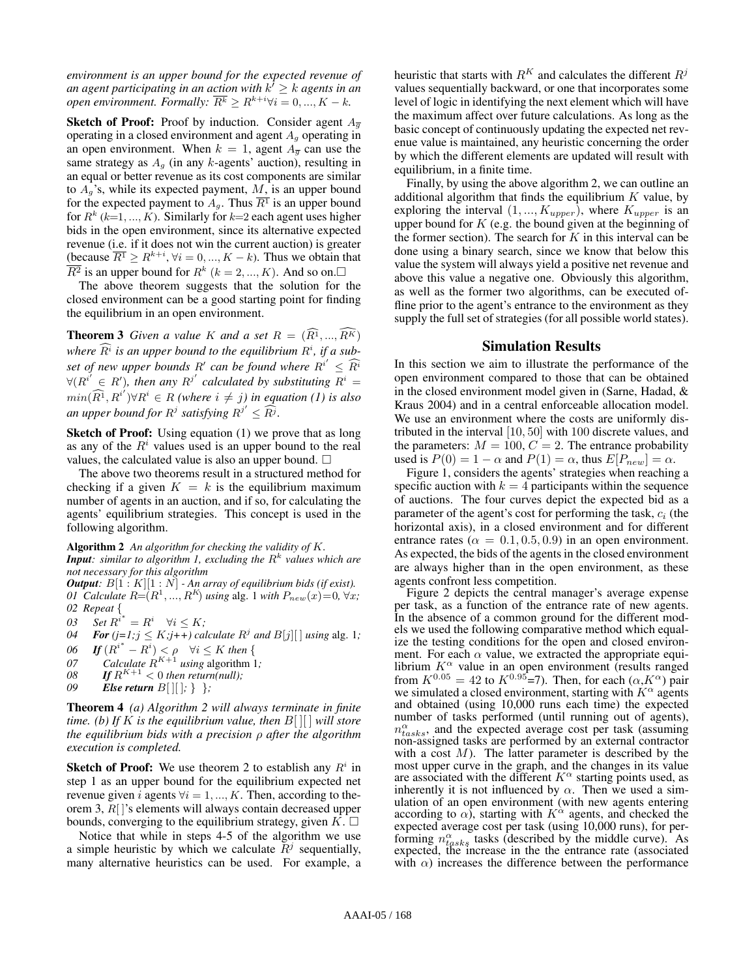*environment is an upper bound for the expected revenue of* an agent participating in an action with  $k' \geq k$  agents in an *open environment. Formally:*  $\overline{R^k} \geq R^{k+i} \forall i = 0, ..., K - k$ .

**Sketch of Proof:** Proof by induction. Consider agent  $A_{\overline{g}}$ operating in a closed environment and agent  $A<sub>g</sub>$  operating in an open environment. When  $k = 1$ , agent  $A_{\overline{g}}$  can use the same strategy as  $A<sub>g</sub>$  (in any k-agents' auction), resulting in an equal or better revenue as its cost components are similar to  $A_g$ 's, while its expected payment, M, is an upper bound for the expected payment to  $A<sub>g</sub>$ . Thus  $\overline{R<sup>1</sup>}$  is an upper bound for  $R^k$  (k=1, ..., K). Similarly for k=2 each agent uses higher bids in the open environment, since its alternative expected revenue (i.e. if it does not win the current auction) is greater (because  $\overline{R^1} \geq R^{k+i}, \forall i = 0, ..., K - k$ ). Thus we obtain that  $\overline{R^2}$  is an upper bound for  $R^k$  ( $k = 2, ..., K$ ). And so on.

The above theorem suggests that the solution for the closed environment can be a good starting point for finding the equilibrium in an open environment.

**Theorem 3** *Given a value* K *and a set*  $R = (\widehat{R}^1, ..., \widehat{R}^K)$ where  $\widehat{R}^i$  is an upper bound to the equilibrium  $R^i$ , if a subset of new upper bounds R' can be found where  $R^{i'} \leq \widehat{R}^{i}$  $\forall (R^{i'} \in R')$ , then any  $R^{j'}$  calculated by substituting  $R^i =$  $min(\widehat{R^1}, R^{i'}) \forall R^i \in R$  (where  $i \neq j$ ) in equation (1) is also *an upper bound for*  $R^j$  *satisfying*  $R^{j'} \leq \widehat{R^j}$ .

Sketch of Proof: Using equation (1) we prove that as long as any of the  $R<sup>i</sup>$  values used is an upper bound to the real values, the calculated value is also an upper bound.  $\Box$ 

The above two theorems result in a structured method for checking if a given  $K = k$  is the equilibrium maximum number of agents in an auction, and if so, for calculating the agents' equilibrium strategies. This concept is used in the following algorithm.

Algorithm 2 *An algorithm for checking the validity of* K*.* Input: similar to algorithm<sup>'</sup> 1, excluding the  $R^k$  values which are *not necessary for this algorithm*

*Output:*  $B[1:K][1:N]$  *- An array of equilibrium bids (if exist). 01 Calculate*  $R = (R^1, ..., R^K)$  *using* alg. 1 *with*  $P_{new}(x) = 0, \forall x$ ; *02 Repeat* {

03 Set  $R^{i^*} = R^i \quad \forall i \leq K;$ 

*04 For* ( $j=1; j \leq K; j+\overline{+}$ ) calculate  $R^j$  and  $B[j][\ ]$  *using* alg. 1*;* 

- *06 If*  $(R^{i^*} R^i) < \rho \quad \forall i \leq K$  *then* {
- *07 Calculate*  $R^{K+1}$  *using* algorithm 1*;*
- 08 *If*  $R^{K+1}$  < 0 *then return(null)*;
- *09 Else return* B[ ][ ]*;* } }*;*

Theorem 4 *(a) Algorithm 2 will always terminate in finite time. (b) If* K *is the equilibrium value, then* B[ ][ ] *will store the equilibrium bids with a precision* ρ *after the algorithm execution is completed.*

**Sketch of Proof:** We use theorem 2 to establish any  $R<sup>i</sup>$  in step 1 as an upper bound for the equilibrium expected net revenue given i agents  $\forall i = 1, ..., K$ . Then, according to theorem 3, R[ ]'s elements will always contain decreased upper bounds, converging to the equilibrium strategy, given  $K$ .  $\Box$ 

Notice that while in steps 4-5 of the algorithm we use a simple heuristic by which we calculate  $\overline{R}^j$  sequentially, many alternative heuristics can be used. For example, a heuristic that starts with  $R^{K}$  and calculates the different  $R^{j}$ values sequentially backward, or one that incorporates some level of logic in identifying the next element which will have the maximum affect over future calculations. As long as the basic concept of continuously updating the expected net revenue value is maintained, any heuristic concerning the order by which the different elements are updated will result with equilibrium, in a finite time.

Finally, by using the above algorithm 2, we can outline an additional algorithm that finds the equilibrium  $K$  value, by exploring the interval  $(1, ..., K_{upper})$ , where  $K_{upper}$  is an upper bound for  $K$  (e.g. the bound given at the beginning of the former section). The search for  $K$  in this interval can be done using a binary search, since we know that below this value the system will always yield a positive net revenue and above this value a negative one. Obviously this algorithm, as well as the former two algorithms, can be executed offline prior to the agent's entrance to the environment as they supply the full set of strategies (for all possible world states).

# Simulation Results

In this section we aim to illustrate the performance of the open environment compared to those that can be obtained in the closed environment model given in (Sarne, Hadad, & Kraus 2004) and in a central enforceable allocation model. We use an environment where the costs are uniformly distributed in the interval [10, 50] with 100 discrete values, and the parameters:  $M = 100, C = 2$ . The entrance probability used is  $P(0) = 1 - \alpha$  and  $P(1) = \alpha$ , thus  $E[P_{new}] = \alpha$ .

Figure 1, considers the agents' strategies when reaching a specific auction with  $k = 4$  participants within the sequence of auctions. The four curves depict the expected bid as a parameter of the agent's cost for performing the task,  $c_i$  (the horizontal axis), in a closed environment and for different entrance rates ( $\alpha = 0.1, 0.5, 0.9$ ) in an open environment. As expected, the bids of the agents in the closed environment are always higher than in the open environment, as these agents confront less competition.

Figure 2 depicts the central manager's average expense per task, as a function of the entrance rate of new agents. In the absence of a common ground for the different models we used the following comparative method which equalize the testing conditions for the open and closed environment. For each  $\alpha$  value, we extracted the appropriate equilibrium  $K^{\alpha}$  value in an open environment (results ranged from  $K^{0.05} = 42$  to  $K^{0.95} = 7$ ). Then, for each  $(\alpha, K^{\alpha})$  pair we simulated a closed environment, starting with  $K^{\alpha}$  agents and obtained (using 10,000 runs each time) the expected number of tasks performed (until running out of agents),  $n_{tasks}^{\alpha}$ , and the expected average cost per task (assuming non-assigned tasks are performed by an external contractor with a cost  $M$ ). The latter parameter is described by the most upper curve in the graph, and the changes in its value are associated with the different  $K^{\alpha}$  starting points used, as inherently it is not influenced by  $\alpha$ . Then we used a simulation of an open environment (with new agents entering according to  $\alpha$ ), starting with  $K^{\alpha}$  agents, and checked the expected average cost per task (using 10,000 runs), for performing  $n_{task}^{\alpha}$  tasks (described by the middle curve). As expected, the increase in the the entrance rate (associated with  $\alpha$ ) increases the difference between the performance